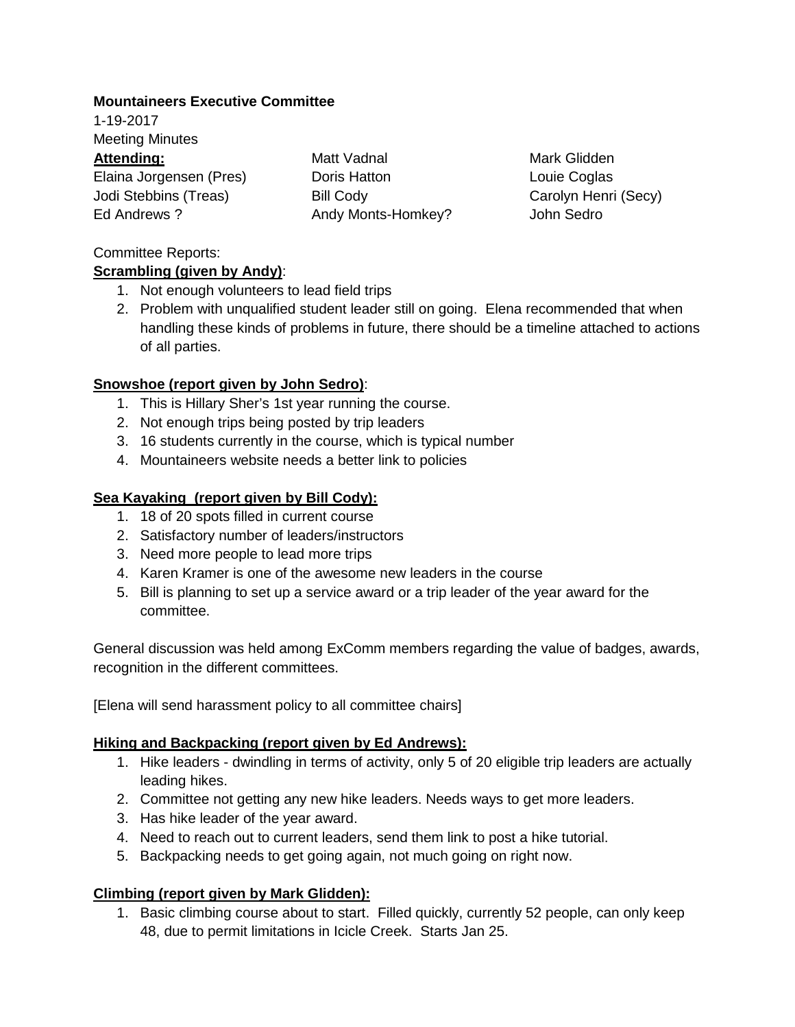#### **Mountaineers Executive Committee**

1-19-2017 Meeting Minutes

#### **Attending:**

Elaina Jorgensen (Pres) Jodi Stebbins (Treas) Ed Andrews ?

Matt Vadnal Doris Hatton Bill Cody Andy Monts-Homkey?

Mark Glidden Louie Coglas Carolyn Henri (Secy) John Sedro

## Committee Reports:

## **Scrambling (given by Andy)** :

- 1. Not enough volunteers to lead field trips
- 2. Problem with unqualified student leader still on going. Elena recommended that when handling these kinds of problems in future, there should be a timeline attached to actions of all parties.

# **Snowshoe (report given by John Sedro)** :

- 1. This is Hillary Sher's 1st year running the course.
- 2. Not enough trips being posted by trip leaders
- 3. 16 students currently in the course, which is typical number
- 4. Mountaineers website needs a better link to policies

# **Sea Kayaking (report given by Bill Cody):**

- 1. 18 of 20 spots filled in current course
- 2. Satisfactory number of leaders/instructors
- 3. Need more people to lead more trips
- 4. Karen Kramer is one of the awesome new leaders in the course
- 5. Bill is planning to set up a service award or a trip leader of the year award for the committee.

General discussion was held among ExComm members regarding the value of badges, awards, recognition in the different committees.

[Elena will send harassment policy to all committee chairs]

## **Hiking and Backpacking (report given by Ed Andrews):**

- 1. Hike leaders dwindling in terms of activity, only 5 of 20 eligible trip leaders are actually leading hikes.
- 2. Committee not getting any new hike leaders. Needs ways to get more leaders.
- 3. Has hike leader of the year award.
- 4. Need to reach out to current leaders, send them link to post a hike tutorial.
- 5. Backpacking needs to get going again, not much going on right now.

## **Climbing (report given by Mark Glidden):**

1. Basic climbing course about to start. Filled quickly, currently 52 people, can only keep 48, due to permit limitations in Icicle Creek. Starts Jan 25.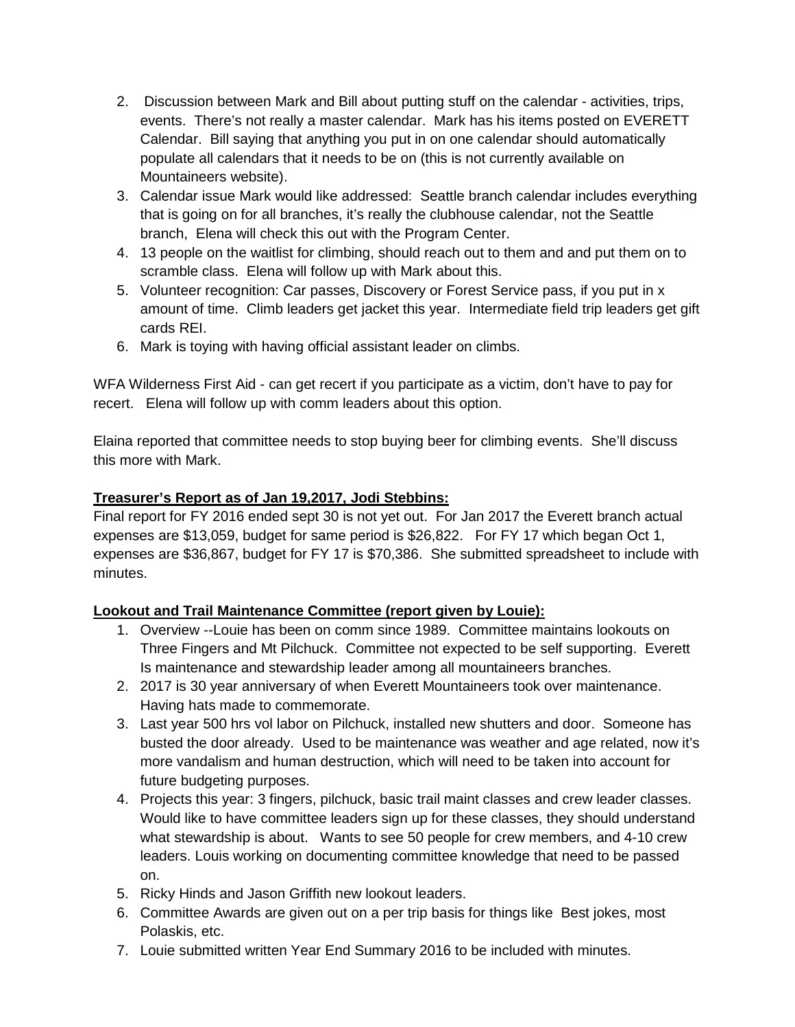- 2. Discussion between Mark and Bill about putting stuff on the calendar activities, trips, events. There's not really a master calendar. Mark has his items posted on EVERETT Calendar. Bill saying that anything you put in on one calendar should automatically populate all calendars that it needs to be on (this is not currently available on Mountaineers website).
- 3. Calendar issue Mark would like addressed: Seattle branch calendar includes everything that is going on for all branches, it's really the clubhouse calendar, not the Seattle branch, Elena will check this out with the Program Center.
- 4. 13 people on the waitlist for climbing, should reach out to them and and put them on to scramble class. Elena will follow up with Mark about this.
- 5. Volunteer recognition: Car passes, Discovery or Forest Service pass, if you put in x amount of time. Climb leaders get jacket this year. Intermediate field trip leaders get gift cards REI.
- 6. Mark is toying with having official assistant leader on climbs.

WFA Wilderness First Aid - can get recert if you participate as a victim, don't have to pay for recert. Elena will follow up with comm leaders about this option.

Elaina reported that committee needs to stop buying beer for climbing events. She'll discuss this more with Mark.

## **Treasurer's Report as of Jan 19,2017, Jodi Stebbins:**

Final report for FY 2016 ended sept 30 is not yet out. For Jan 2017 the Everett branch actual expenses are \$13,059, budget for same period is \$26,822. For FY 17 which began Oct 1, expenses are \$36,867, budget for FY 17 is \$70,386. She submitted spreadsheet to include with minutes.

## **Lookout and Trail Maintenance Committee (report given by Louie):**

- 1. Overview --Louie has been on comm since 1989. Committee maintains lookouts on Three Fingers and Mt Pilchuck. Committee not expected to be self supporting. Everett Is maintenance and stewardship leader among all mountaineers branches.
- 2. 2017 is 30 year anniversary of when Everett Mountaineers took over maintenance. Having hats made to commemorate.
- 3. Last year 500 hrs vol labor on Pilchuck, installed new shutters and door. Someone has busted the door already. Used to be maintenance was weather and age related, now it's more vandalism and human destruction, which will need to be taken into account for future budgeting purposes.
- 4. Projects this year: 3 fingers, pilchuck, basic trail maint classes and crew leader classes. Would like to have committee leaders sign up for these classes, they should understand what stewardship is about. Wants to see 50 people for crew members, and 4-10 crew leaders. Louis working on documenting committee knowledge that need to be passed on.
- 5. Ricky Hinds and Jason Griffith new lookout leaders.
- 6. Committee Awards are given out on a per trip basis for things like Best jokes, most Polaskis, etc.
- 7. Louie submitted written Year End Summary 2016 to be included with minutes.